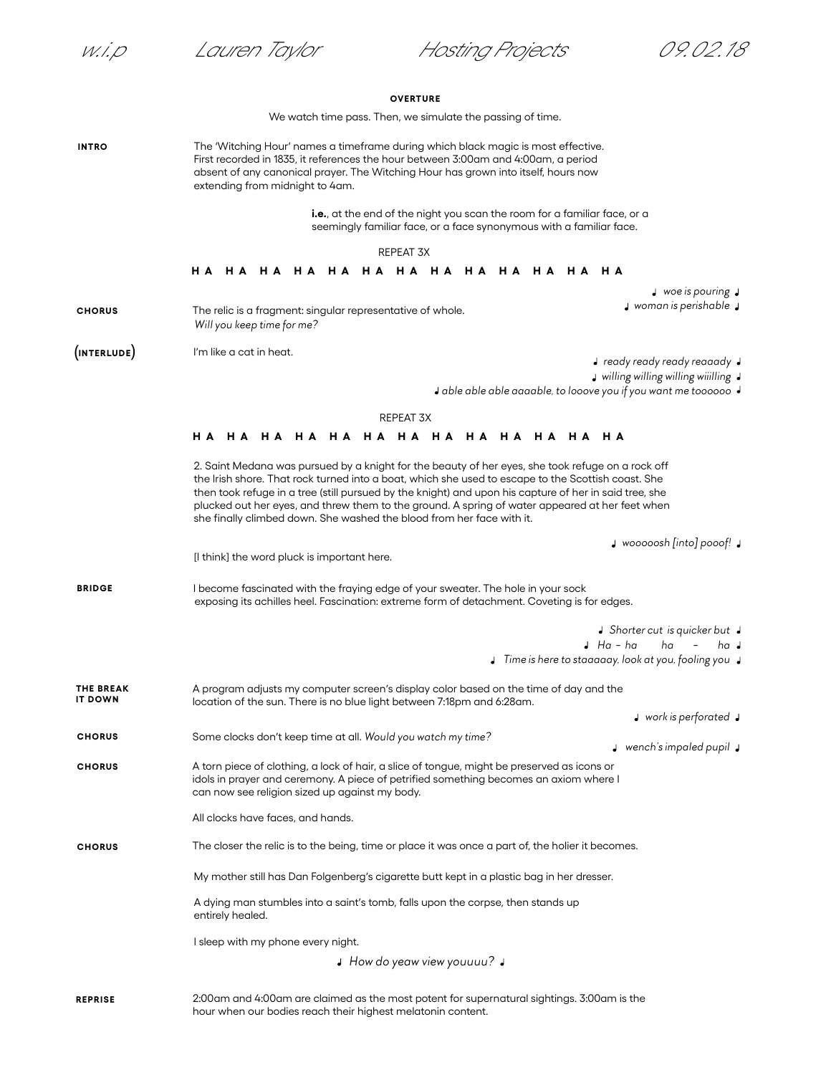**CHORUS**

w.i.p Lauren Taylor Hosting Projects 09.02.18

## **OVERTURE**

We watch time pass. Then, we simulate the passing of time.

**INTRO** The 'Witching Hour' names a timeframe during which black magic is most effective. First recorded in 1835, it references the hour between 3:00am and 4:00am, a period absent of any canonical prayer. The Witching Hour has grown into itself, hours now extending from midnight to 4am.

> **i.e.**, at the end of the night you scan the room for a familiar face, or a seemingly familiar face, or a face synonymous with a familiar face.

> > REPEAT 3X

## **HA HA HA HA HA HA HA HA HA HA HA HA HA**

*woe is pouring*

*woman is perishable* 

The relic is a fragment: singular representative of whole.  *Will you keep time for me?* **CHORUS**

I'm like a cat in heat. **INTERLUDE**

*ready ready ready reaaady*

 *willing willing willing wiiilling* 

 *able able able aaaable, to looove you if you want me toooooo*

## REPEAT 3X

## **HA HA HA HA HA HA HA HA HA HA HA HA HA**

2. Saint Medana was pursued by a knight for the beauty of her eyes, she took refuge on a rock off the Irish shore. That rock turned into a boat, which she used to escape to the Scottish coast. She then took refuge in a tree (still pursued by the knight) and upon his capture of her in said tree, she plucked out her eyes, and threw them to the ground. A spring of water appeared at her feet when she finally climbed down. She washed the blood from her face with it.

*wooooosh [into] pooof!*

I become fascinated with the fraying edge of your sweater. The hole in your sock exposing its achilles heel. Fascination: extreme form of detachment. Coveting is for edges. **BRIDGE**

[I think] the word pluck is important here.

*Shorter cut is quicker but* 

- *Ha ha ha ha*
- *Time is here to staaaaay, look at you, fooling you*
- A program adjusts my computer screen's display color based on the time of day and the location of the sun. There is no blue light between 7:18pm and 6:28am. **THE BREAK IT DOWN**
	- *work is perforated*

*wench's impaled pupil* 

A torn piece of clothing, a lock of hair, a slice of tongue, might be preserved as icons or idols in prayer and ceremony. A piece of petrified something becomes an axiom where I can now see religion sized up against my body. **CHORUS**

Some clocks don't keep time at all. *Would you watch my time?*

All clocks have faces, and hands.

**CHORUS** The closer the relic is to the being, time or place it was once a part of, the holier it becomes.

My mother still has Dan Folgenberg's cigarette butt kept in a plastic bag in her dresser.

A dying man stumbles into a saint's tomb, falls upon the corpse, then stands up entirely healed.

I sleep with my phone every night.

*How do yeaw view youuuu?* 

2:00am and 4:00am are claimed as the most potent for supernatural sightings. 3:00am is the hour when our bodies reach their highest melatonin content. **REPRISE**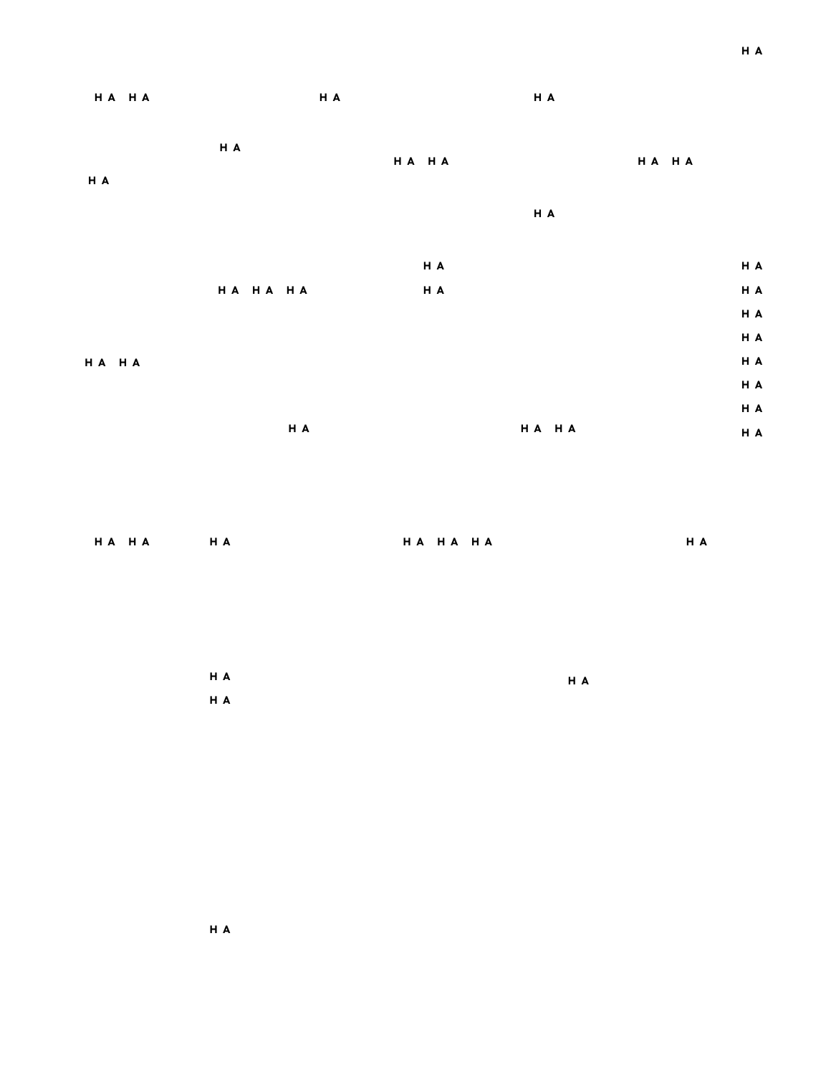| HA HA | H A      |       | H A   |       |     |
|-------|----------|-------|-------|-------|-----|
| H A   | H A      | HA HA |       | HA HA |     |
|       |          |       | H A   |       |     |
|       |          | H A   |       |       | H A |
|       | HA HA HA | H A   |       |       | H A |
|       |          |       |       |       | H A |
|       |          |       |       |       | H A |
| HA HA |          |       |       |       | H A |
|       |          |       |       |       | H A |
|       |          |       |       |       | H A |
|       | H A      |       | HA HA |       | H A |

**HA HA HA HA HA HA HA** 

| H A | H A |  |
|-----|-----|--|
| H A |     |  |

**HA**